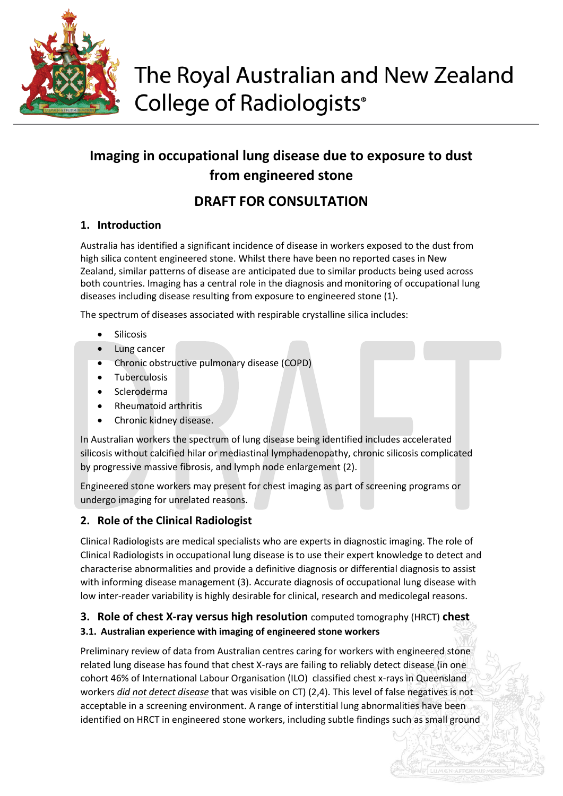

# The Royal Australian and New Zealand College of Radiologists<sup>®</sup>

# **Imaging in occupational lung disease due to exposure to dust from engineered stone**

# **DRAFT FOR CONSULTATION**

## **1. Introduction**

Australia has identified a significant incidence of disease in workers exposed to the dust from high silica content engineered stone. Whilst there have been no reported cases in New Zealand, similar patterns of disease are anticipated due to similar products being used across both countries. Imaging has a central role in the diagnosis and monitoring of occupational lung diseases including disease resulting from exposure to engineered stone (1).

The spectrum of diseases associated with respirable crystalline silica includes:

- Silicosis
- Lung cancer
- Chronic obstructive pulmonary disease (COPD)
- **Tuberculosis**
- Scleroderma
- Rheumatoid arthritis
- Chronic kidney disease.

In Australian workers the spectrum of lung disease being identified includes accelerated silicosis without calcified hilar or mediastinal lymphadenopathy, chronic silicosis complicated by progressive massive fibrosis, and lymph node enlargement (2).

Engineered stone workers may present for chest imaging as part of screening programs or undergo imaging for unrelated reasons.

# **2. Role of the Clinical Radiologist**

Clinical Radiologists are medical specialists who are experts in diagnostic imaging. The role of Clinical Radiologists in occupational lung disease is to use their expert knowledge to detect and characterise abnormalities and provide a definitive diagnosis or differential diagnosis to assist with informing disease management (3). Accurate diagnosis of occupational lung disease with low inter-reader variability is highly desirable for clinical, research and medicolegal reasons.

## **3. Role of chest X-ray versus high resolution** computed tomography (HRCT) **chest 3.1. Australian experience with imaging of engineered stone workers**

Preliminary review of data from Australian centres caring for workers with engineered stone related lung disease has found that chest X-rays are failing to reliably detect disease (in one cohort 46% of International Labour Organisation (ILO) classified chest x-rays in Queensland workers *did not detect disease* that was visible on CT) (2,4). This level of false negatives is not acceptable in a screening environment. A range of interstitial lung abnormalities have been identified on HRCT in engineered stone workers, including subtle findings such as small ground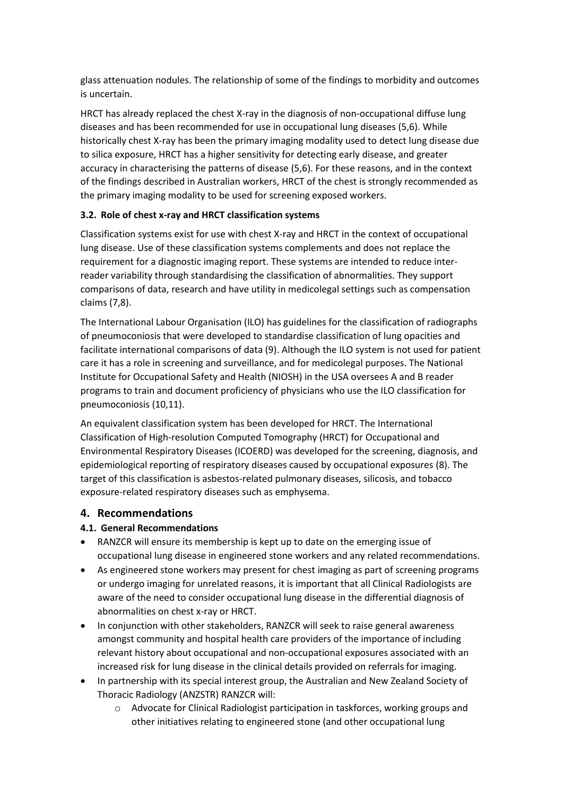glass attenuation nodules. The relationship of some of the findings to morbidity and outcomes is uncertain.

HRCT has already replaced the chest X-ray in the diagnosis of non-occupational diffuse lung diseases and has been recommended for use in occupational lung diseases (5,6). While historically chest X-ray has been the primary imaging modality used to detect lung disease due to silica exposure, HRCT has a higher sensitivity for detecting early disease, and greater accuracy in characterising the patterns of disease (5,6). For these reasons, and in the context of the findings described in Australian workers, HRCT of the chest is strongly recommended as the primary imaging modality to be used for screening exposed workers.

#### **3.2. Role of chest x-ray and HRCT classification systems**

Classification systems exist for use with chest X-ray and HRCT in the context of occupational lung disease. Use of these classification systems complements and does not replace the requirement for a diagnostic imaging report. These systems are intended to reduce interreader variability through standardising the classification of abnormalities. They support comparisons of data, research and have utility in medicolegal settings such as compensation claims (7,8).

The International Labour Organisation (ILO) has guidelines for the classification of radiographs of pneumoconiosis that were developed to standardise classification of lung opacities and facilitate international comparisons of data (9). Although the ILO system is not used for patient care it has a role in screening and surveillance, and for medicolegal purposes. The National Institute for Occupational Safety and Health (NIOSH) in the USA oversees A and B reader programs to train and document proficiency of physicians who use the ILO classification for pneumoconiosis (10,11).

An equivalent classification system has been developed for HRCT. The International Classification of High-resolution Computed Tomography (HRCT) for Occupational and Environmental Respiratory Diseases (ICOERD) was developed for the screening, diagnosis, and epidemiological reporting of respiratory diseases caused by occupational exposures (8). The target of this classification is asbestos-related pulmonary diseases, silicosis, and tobacco exposure-related respiratory diseases such as emphysema.

#### **4. Recommendations**

#### **4.1. General Recommendations**

- RANZCR will ensure its membership is kept up to date on the emerging issue of occupational lung disease in engineered stone workers and any related recommendations.
- As engineered stone workers may present for chest imaging as part of screening programs or undergo imaging for unrelated reasons, it is important that all Clinical Radiologists are aware of the need to consider occupational lung disease in the differential diagnosis of abnormalities on chest x-ray or HRCT.
- In conjunction with other stakeholders, RANZCR will seek to raise general awareness amongst community and hospital health care providers of the importance of including relevant history about occupational and non-occupational exposures associated with an increased risk for lung disease in the clinical details provided on referrals for imaging.
- In partnership with its special interest group, the Australian and New Zealand Society of Thoracic Radiology (ANZSTR) RANZCR will:
	- o Advocate for Clinical Radiologist participation in taskforces, working groups and other initiatives relating to engineered stone (and other occupational lung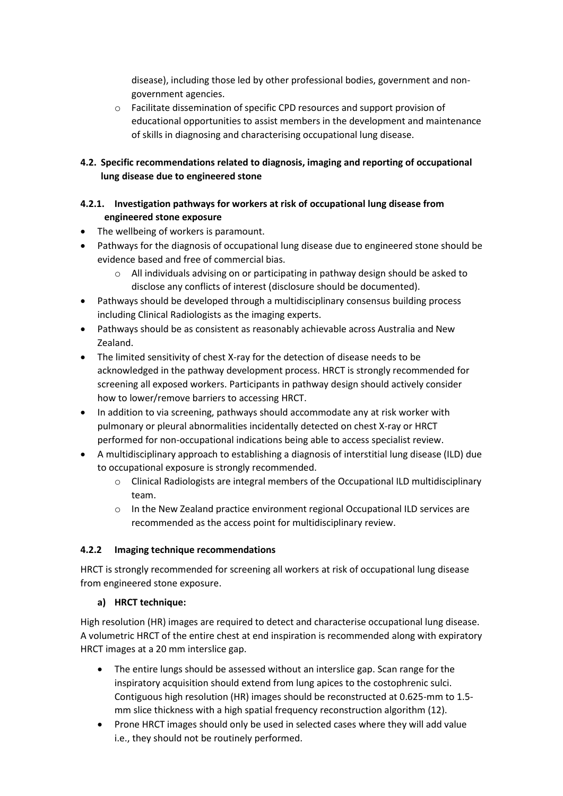disease), including those led by other professional bodies, government and nongovernment agencies.

o Facilitate dissemination of specific CPD resources and support provision of educational opportunities to assist members in the development and maintenance of skills in diagnosing and characterising occupational lung disease.

#### **4.2. Specific recommendations related to diagnosis, imaging and reporting of occupational lung disease due to engineered stone**

#### **4.2.1. Investigation pathways for workers at risk of occupational lung disease from engineered stone exposure**

- The wellbeing of workers is paramount.
- Pathways for the diagnosis of occupational lung disease due to engineered stone should be evidence based and free of commercial bias.
	- o All individuals advising on or participating in pathway design should be asked to disclose any conflicts of interest (disclosure should be documented).
- Pathways should be developed through a multidisciplinary consensus building process including Clinical Radiologists as the imaging experts.
- Pathways should be as consistent as reasonably achievable across Australia and New Zealand.
- The limited sensitivity of chest X-ray for the detection of disease needs to be acknowledged in the pathway development process. HRCT is strongly recommended for screening all exposed workers. Participants in pathway design should actively consider how to lower/remove barriers to accessing HRCT.
- In addition to via screening, pathways should accommodate any at risk worker with pulmonary or pleural abnormalities incidentally detected on chest X-ray or HRCT performed for non-occupational indications being able to access specialist review.
- A multidisciplinary approach to establishing a diagnosis of interstitial lung disease (ILD) due to occupational exposure is strongly recommended.
	- $\circ$  Clinical Radiologists are integral members of the Occupational ILD multidisciplinary team.
	- o In the New Zealand practice environment regional Occupational ILD services are recommended as the access point for multidisciplinary review.

#### **4.2.2 Imaging technique recommendations**

HRCT is strongly recommended for screening all workers at risk of occupational lung disease from engineered stone exposure.

#### **a) HRCT technique:**

High resolution (HR) images are required to detect and characterise occupational lung disease. A volumetric HRCT of the entire chest at end inspiration is recommended along with expiratory HRCT images at a 20 mm interslice gap.

- The entire lungs should be assessed without an interslice gap. Scan range for the inspiratory acquisition should extend from lung apices to the costophrenic sulci. Contiguous high resolution (HR) images should be reconstructed at 0.625-mm to 1.5 mm slice thickness with a high spatial frequency reconstruction algorithm (12).
- Prone HRCT images should only be used in selected cases where they will add value i.e., they should not be routinely performed.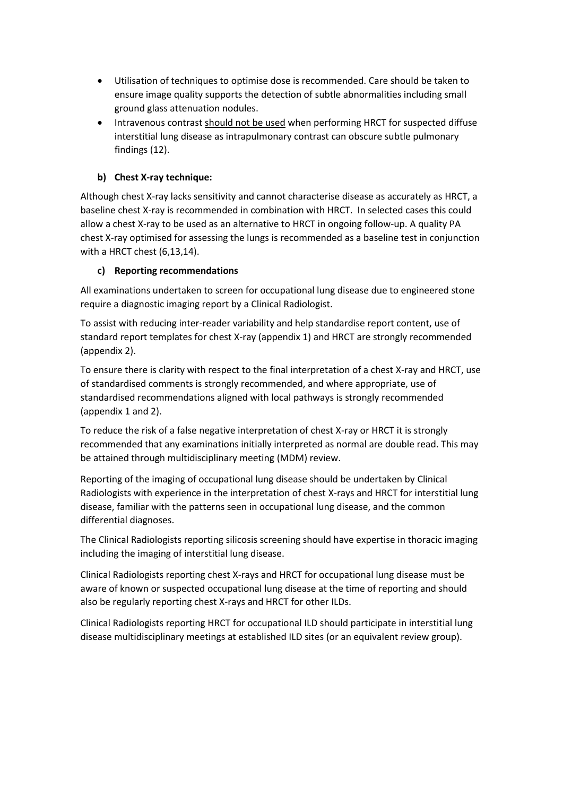- Utilisation of techniques to optimise dose is recommended. Care should be taken to ensure image quality supports the detection of subtle abnormalities including small ground glass attenuation nodules.
- Intravenous contrast should not be used when performing HRCT for suspected diffuse interstitial lung disease as intrapulmonary contrast can obscure subtle pulmonary findings (12).

#### **b) Chest X-ray technique:**

Although chest X-ray lacks sensitivity and cannot characterise disease as accurately as HRCT, a baseline chest X-ray is recommended in combination with HRCT. In selected cases this could allow a chest X-ray to be used as an alternative to HRCT in ongoing follow-up. A quality PA chest X-ray optimised for assessing the lungs is recommended as a baseline test in conjunction with a HRCT chest (6,13,14).

#### **c) Reporting recommendations**

All examinations undertaken to screen for occupational lung disease due to engineered stone require a diagnostic imaging report by a Clinical Radiologist.

To assist with reducing inter-reader variability and help standardise report content, use of standard report templates for chest X-ray (appendix 1) and HRCT are strongly recommended (appendix 2).

To ensure there is clarity with respect to the final interpretation of a chest X-ray and HRCT, use of standardised comments is strongly recommended, and where appropriate, use of standardised recommendations aligned with local pathways is strongly recommended (appendix 1 and 2).

To reduce the risk of a false negative interpretation of chest X-ray or HRCT it is strongly recommended that any examinations initially interpreted as normal are double read. This may be attained through multidisciplinary meeting (MDM) review.

Reporting of the imaging of occupational lung disease should be undertaken by Clinical Radiologists with experience in the interpretation of chest X-rays and HRCT for interstitial lung disease, familiar with the patterns seen in occupational lung disease, and the common differential diagnoses.

The Clinical Radiologists reporting silicosis screening should have expertise in thoracic imaging including the imaging of interstitial lung disease.

Clinical Radiologists reporting chest X-rays and HRCT for occupational lung disease must be aware of known or suspected occupational lung disease at the time of reporting and should also be regularly reporting chest X-rays and HRCT for other ILDs.

Clinical Radiologists reporting HRCT for occupational ILD should participate in interstitial lung disease multidisciplinary meetings at established ILD sites (or an equivalent review group).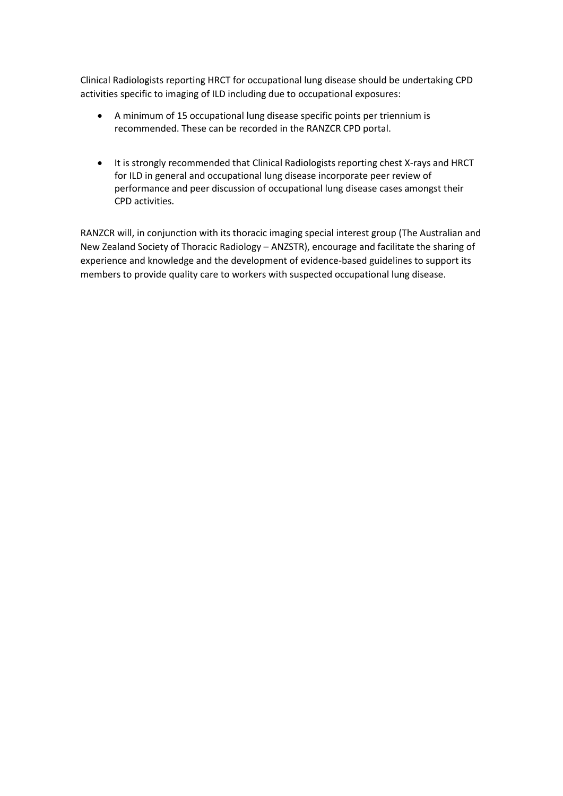Clinical Radiologists reporting HRCT for occupational lung disease should be undertaking CPD activities specific to imaging of ILD including due to occupational exposures:

- A minimum of 15 occupational lung disease specific points per triennium is recommended. These can be recorded in the RANZCR CPD portal.
- It is strongly recommended that Clinical Radiologists reporting chest X-rays and HRCT for ILD in general and occupational lung disease incorporate peer review of performance and peer discussion of occupational lung disease cases amongst their CPD activities.

RANZCR will, in conjunction with its thoracic imaging special interest group (The Australian and New Zealand Society of Thoracic Radiology – ANZSTR), encourage and facilitate the sharing of experience and knowledge and the development of evidence-based guidelines to support its members to provide quality care to workers with suspected occupational lung disease.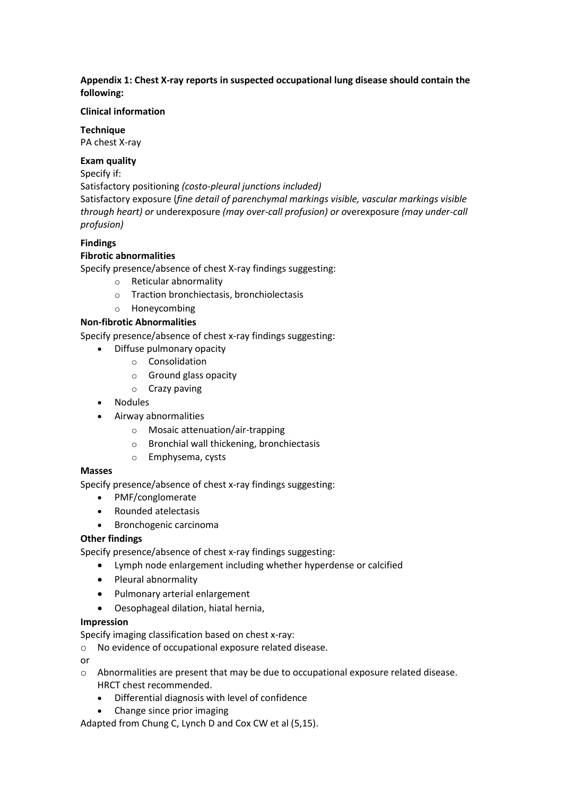#### **Appendix 1: Chest X-ray reports in suspected occupational lung disease should contain the following:**

#### **Clinical information**

**Technique** PA chest X-ray

#### **Exam quality**

Specify if:

Satisfactory positioning *(costo-pleural junctions included)*

Satisfactory exposure (*fine detail of parenchymal markings visible, vascular markings visible through heart) or* underexposure *(may over-call profusion) or o*verexposure *(may under-call profusion)*

#### **Findings**

#### **Fibrotic abnormalities**

Specify presence/absence of chest X-ray findings suggesting:

- o Reticular abnormality
- o Traction bronchiectasis, bronchiolectasis
- o Honeycombing

#### **Non-fibrotic Abnormalities**

Specify presence/absence of chest x-ray findings suggesting:

- Diffuse pulmonary opacity
	- o Consolidation
	- o Ground glass opacity
	- o Crazy paving
- Nodules
- Airway abnormalities
	- o Mosaic attenuation/air-trapping
	- o Bronchial wall thickening, bronchiectasis
	- o Emphysema, cysts

#### **Masses**

Specify presence/absence of chest x-ray findings suggesting:

- PMF/conglomerate
- Rounded atelectasis
- Bronchogenic carcinoma

#### **Other findings**

Specify presence/absence of chest x-ray findings suggesting:

- Lymph node enlargement including whether hyperdense or calcified
- Pleural abnormality
- Pulmonary arterial enlargement
- Oesophageal dilation, hiatal hernia,

#### **Impression**

Specify imaging classification based on chest x-ray:

o No evidence of occupational exposure related disease.

or

- $\circ$  Abnormalities are present that may be due to occupational exposure related disease. HRCT chest recommended.
	- Differential diagnosis with level of confidence
	- Change since prior imaging

Adapted from Chung C, Lynch D and Cox CW et al (5,15).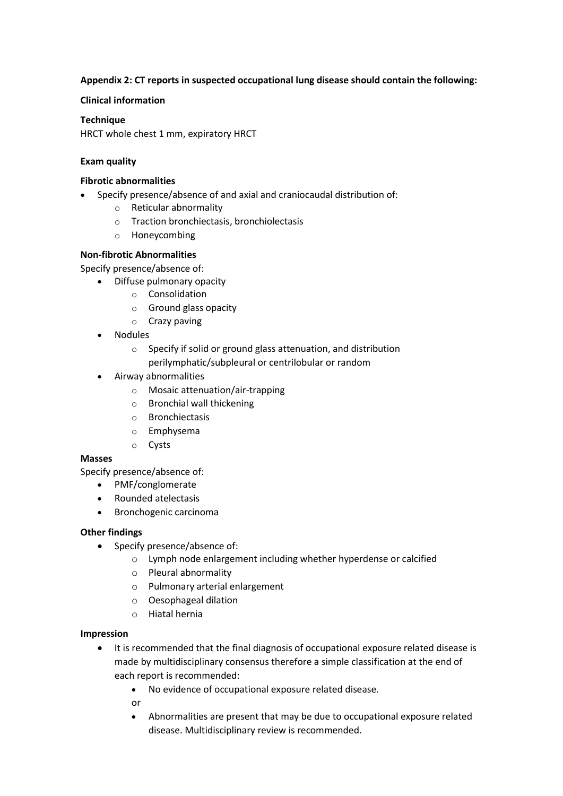#### **Appendix 2: CT reports in suspected occupational lung disease should contain the following:**

#### **Clinical information**

#### **Technique**

HRCT whole chest 1 mm, expiratory HRCT

#### **Exam quality**

#### **Fibrotic abnormalities**

- Specify presence/absence of and axial and craniocaudal distribution of:
	- o Reticular abnormality
	- o Traction bronchiectasis, bronchiolectasis
	- o Honeycombing

#### **Non-fibrotic Abnormalities**

Specify presence/absence of:

- Diffuse pulmonary opacity
	- o Consolidation
	- o Ground glass opacity
	- o Crazy paving
- Nodules
	- o Specify if solid or ground glass attenuation, and distribution perilymphatic/subpleural or centrilobular or random
- Airway abnormalities
	- o Mosaic attenuation/air-trapping
	- o Bronchial wall thickening
	- o Bronchiectasis
	- o Emphysema
	- o Cysts

#### **Masses**

Specify presence/absence of:

- PMF/conglomerate
- Rounded atelectasis
- Bronchogenic carcinoma

#### **Other findings**

- Specify presence/absence of:
	- o Lymph node enlargement including whether hyperdense or calcified
	- o Pleural abnormality
	- o Pulmonary arterial enlargement
	- o Oesophageal dilation
	- o Hiatal hernia

#### **Impression**

- It is recommended that the final diagnosis of occupational exposure related disease is made by multidisciplinary consensus therefore a simple classification at the end of each report is recommended:
	- No evidence of occupational exposure related disease.
	- or
	- Abnormalities are present that may be due to occupational exposure related disease. Multidisciplinary review is recommended.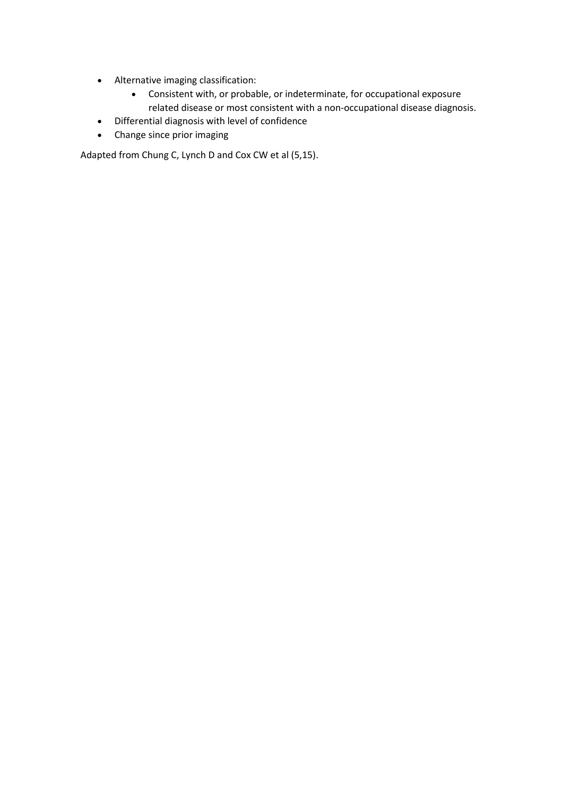- Alternative imaging classification:
	- Consistent with, or probable, or indeterminate, for occupational exposure related disease or most consistent with a non-occupational disease diagnosis.
- Differential diagnosis with level of confidence
- Change since prior imaging

Adapted from Chung C, Lynch D and Cox CW et al (5,15).